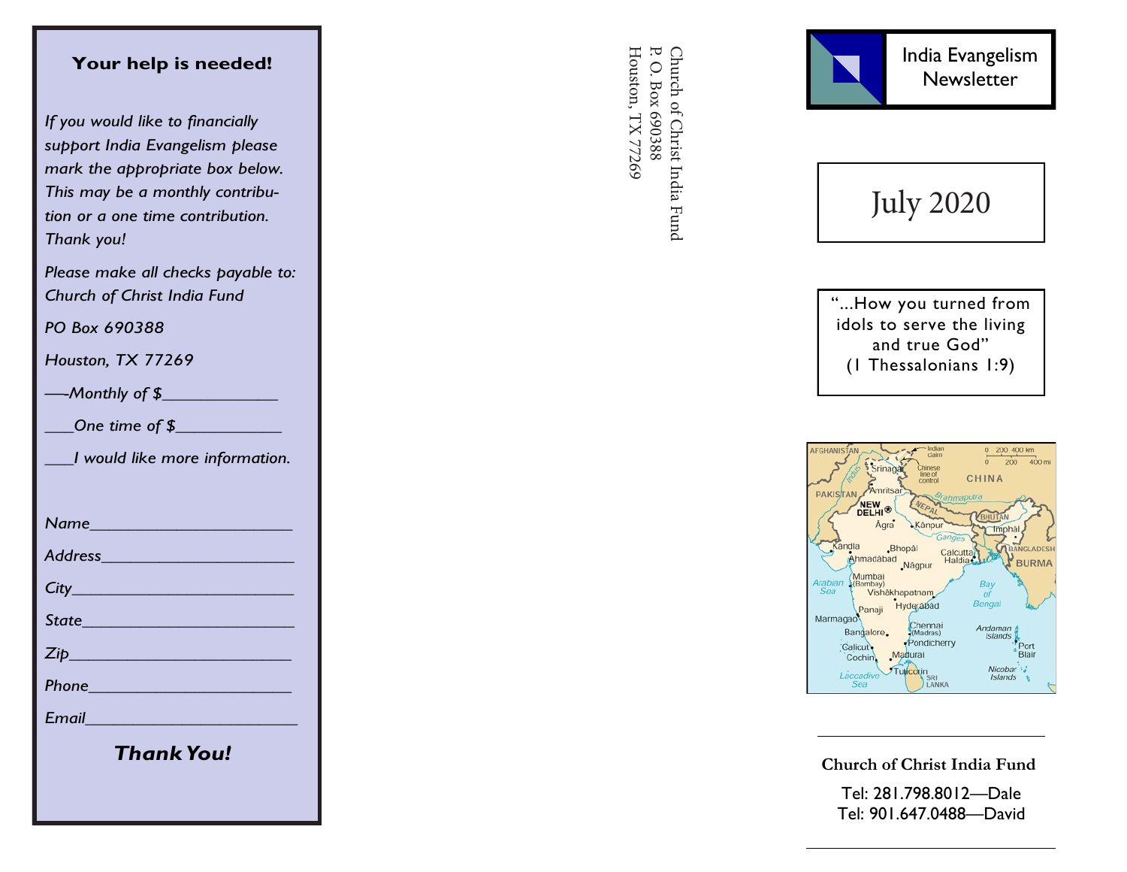## **Your help is needed!**

*If you would like to financially support India Evangelism please mark the appropriate box below. This may be a monthly contribution or a one time contribution. Thank you!*

*Please make all checks payable to: Church of Christ India Fund*

*PO Box 690388*

*Houston, TX 77269*

*—-Monthly of \$\_\_\_\_\_\_\_\_\_\_\_\_*

*\_\_\_One time of \$\_\_\_\_\_\_\_\_\_\_\_*

*\_\_\_I would like more information.*

*Name\_\_\_\_\_\_\_\_\_\_\_\_\_\_\_\_\_\_\_\_\_*

*Address\_\_\_\_\_\_\_\_\_\_\_\_\_\_\_\_\_\_\_\_*

*City\_\_\_\_\_\_\_\_\_\_\_\_\_\_\_\_\_\_\_\_\_\_\_*

*State\_\_\_\_\_\_\_\_\_\_\_\_\_\_\_\_\_\_\_\_\_\_*

*Zip\_\_\_\_\_\_\_\_\_\_\_\_\_\_\_\_\_\_\_\_\_\_\_*

*Phone\_\_\_\_\_\_\_\_\_\_\_\_\_\_\_\_\_\_\_\_\_*

*Email\_\_\_\_\_\_\_\_\_\_\_\_\_\_\_\_\_\_\_\_\_\_*

*Thank You!*

Church of Christ India Fund<br>P. O. Box 690388 Houston, TX 77269 Houston, TX 77269 P. O. Box 690388 Church of Christ India Fund



July 2020

"...How you turned from idols to serve the living and true God" (1 Thessalonians 1:9)



**Church of Christ India Fund**

Tel: 281.798.8012 —Dale Tel: 901.647.0488 —David